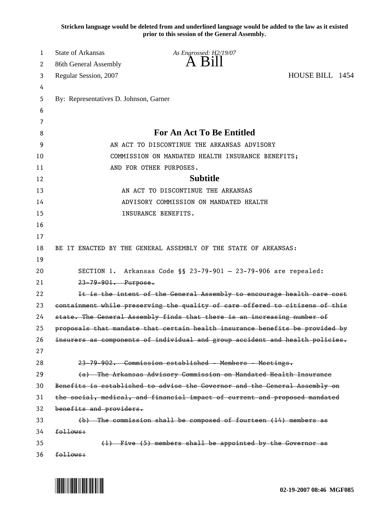**Stricken language would be deleted from and underlined language would be added to the law as it existed prior to this session of the General Assembly.**

| 1  | <b>State of Arkansas</b>               | As Engrossed: H2/19/07                                                       |                 |
|----|----------------------------------------|------------------------------------------------------------------------------|-----------------|
| 2  | 86th General Assembly                  | A B1II                                                                       |                 |
| 3  | Regular Session, 2007                  |                                                                              | HOUSE BILL 1454 |
| 4  |                                        |                                                                              |                 |
| 5  | By: Representatives D. Johnson, Garner |                                                                              |                 |
| 6  |                                        |                                                                              |                 |
| 7  |                                        |                                                                              |                 |
| 8  |                                        | For An Act To Be Entitled                                                    |                 |
| 9  |                                        | AN ACT TO DISCONTINUE THE ARKANSAS ADVISORY                                  |                 |
| 10 |                                        | COMMISSION ON MANDATED HEALTH INSURANCE BENEFITS;                            |                 |
| 11 |                                        | AND FOR OTHER PURPOSES.                                                      |                 |
| 12 |                                        | <b>Subtitle</b>                                                              |                 |
| 13 |                                        | AN ACT TO DISCONTINUE THE ARKANSAS                                           |                 |
| 14 |                                        | ADVISORY COMMISSION ON MANDATED HEALTH                                       |                 |
| 15 |                                        | INSURANCE BENEFITS.                                                          |                 |
| 16 |                                        |                                                                              |                 |
| 17 |                                        |                                                                              |                 |
| 18 |                                        | BE IT ENACTED BY THE GENERAL ASSEMBLY OF THE STATE OF ARKANSAS:              |                 |
| 19 |                                        |                                                                              |                 |
| 20 |                                        | SECTION 1. Arkansas Code §§ 23-79-901 - 23-79-906 are repealed:              |                 |
| 21 | 23-79-901. Purpose.                    |                                                                              |                 |
| 22 |                                        | It is the intent of the General Assembly to encourage health care cost       |                 |
| 23 |                                        | containment while preserving the quality of care offered to citizens of this |                 |
| 24 |                                        | state. The General Assembly finds that there is an increasing number of      |                 |
| 25 |                                        | proposals that mandate that certain health insurance benefits be provided by |                 |
| 26 |                                        | insurers as components of individual and group accident and health policies. |                 |
| 27 |                                        |                                                                              |                 |
| 28 |                                        | 23-79-902. Commission established - Members - Meetings.                      |                 |
| 29 |                                        | (a) The Arkansas Advisory Commission on Mandated Health Insurance            |                 |
| 30 |                                        | Benefits is established to advise the Governor and the General Assembly on   |                 |
| 31 |                                        | the social, medical, and financial impact of current and proposed mandated   |                 |
| 32 | benefits and providers.                |                                                                              |                 |
| 33 |                                        | (b) The commission shall be composed of fourteen (14) members as             |                 |
| 34 | follows:                               |                                                                              |                 |
| 35 |                                        | (1) Five (5) members shall be appointed by the Governor as                   |                 |
| 36 | follows:                               |                                                                              |                 |

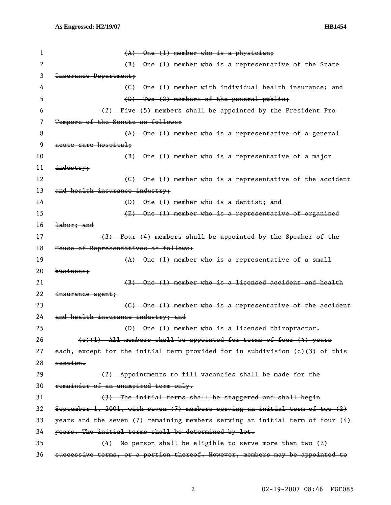| 1  | $(A)$ One (1) member who is a physician;                                         |
|----|----------------------------------------------------------------------------------|
| 2  | (B) One (1) member who is a representative of the State                          |
| 3  | Insurance Department;                                                            |
| 4  | (C) One (1) member with individual health insurance; and                         |
| 5  | (D) Two (2) members of the general public;                                       |
| 6  | (2) Five (5) members shall be appointed by the President Pro                     |
| 7  | Tempore of the Senate as follows:                                                |
| 8  | $(A)$ One (1) member who is a representative of a general                        |
| 9  | acute care hospital;                                                             |
| 10 | (B) One (1) member who is a representative of a major                            |
| 11 | industry;                                                                        |
| 12 | (C) One (1) member who is a representative of the accident                       |
| 13 | and health insurance industry;                                                   |
| 14 | $(D)$ One $(1)$ member who is a dentist; and                                     |
| 15 | (E) One (1) member who is a representative of organized                          |
| 16 | labor; and                                                                       |
| 17 | (3) Four (4) members shall be appointed by the Speaker of the                    |
| 18 | House of Representatives as follows:                                             |
| 19 | $(A)$ One (1) member who is a representative of a small                          |
| 20 | business;                                                                        |
| 21 | (B) One (1) member who is a licensed accident and health                         |
| 22 | insurance agent;                                                                 |
| 23 | (C) One (1) member who is a representative of the accident                       |
| 24 | and health insurance industry; and                                               |
| 25 | $(D)$ One (1) member who is a licensed chiropractor.                             |
| 26 | $(e)(1)$ All members shall be appointed for terms of four $(4)$ years            |
| 27 | each, except for the initial term provided for in subdivision (c)(3) of this     |
| 28 | section.                                                                         |
| 29 | (2) Appointments to fill vacancies shall be made for the                         |
| 30 | remainder of an unexpired term only.                                             |
| 31 | (3) The initial terms shall be staggered and shall begin                         |
| 32 | September 1, 2001, with seven $(7)$ members serving an initial term of two $(2)$ |
| 33 | years and the seven (7) remaining members serving an initial term of four (4)    |
| 34 | years. The initial terms shall be determined by lot.                             |
| 35 | (4) No person shall be eligible to serve more than two (2)                       |
| 36 | successive terms, or a portion thereof. However, members may be appointed to     |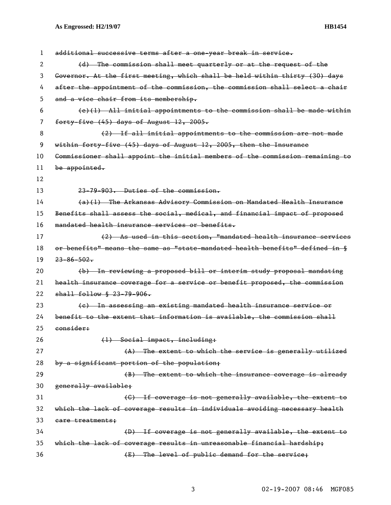## **As Engrossed: H2/19/07 HB1454**

| 1  | additional successive terms after a one-year break in service.                |
|----|-------------------------------------------------------------------------------|
| 2  | (d) The commission shall meet quarterly or at the request of the              |
| 3  | Governor. At the first meeting, which shall be held within thirty (30) days   |
| 4  | after the appointment of the commission, the commission shall select a chair  |
| 5  | and a vice chair from its membership.                                         |
| 6  | $(e)(1)$ All initial appointments to the commission shall be made within      |
| 7  | forty-five (45) days of August 12, 2005.                                      |
| 8  | (2) If all initial appointments to the commission are not made                |
| 9  | within forty-five (45) days of August 12, 2005, then the Insurance            |
| 10 | Commissioner shall appoint the initial members of the commission remaining to |
| 11 | be appointed.                                                                 |
| 12 |                                                                               |
| 13 | 23-79-903. Duties of the commission.                                          |
| 14 | (a)(1) The Arkansas Advisory Commission on Mandated Health Insurance          |
| 15 | Benefits shall assess the social, medical, and financial impact of proposed   |
| 16 | mandated health insurance services or benefits.                               |
| 17 | (2) As used in this section, "mandated health insurance services              |
| 18 | or benefits" means the same as "state-mandated health benefits" defined in §  |
| 19 | $23 - 86 - 502$                                                               |
| 20 | (b) In reviewing a proposed bill or interim study proposal mandating          |
| 21 | health insurance coverage for a service or benefit proposed, the commission   |
| 22 | $shall$ follow § 23-79-906.                                                   |
| 23 | (e) In assessing an existing mandated health insurance service or             |
| 24 | benefit to the extent that information is available, the commission shall     |
| 25 | consider:                                                                     |
| 26 | (1) Social impact, including:                                                 |
| 27 | (A) The extent to which the service is generally utilized                     |
| 28 | by a significant portion of the population;                                   |
| 29 | (B) The extent to which the insurance coverage is already                     |
| 30 | generally available;                                                          |
| 31 | (C) If coverage is not generally available, the extent to                     |
| 32 | which the lack of coverage results in individuals avoiding necessary health   |
| 33 | eare treatments:                                                              |
| 34 | (D) If coverage is not generally available, the extent to                     |
| 35 | which the lack of coverage results in unreasonable financial hardship;        |
| 36 | (E) The level of public demand for the service;                               |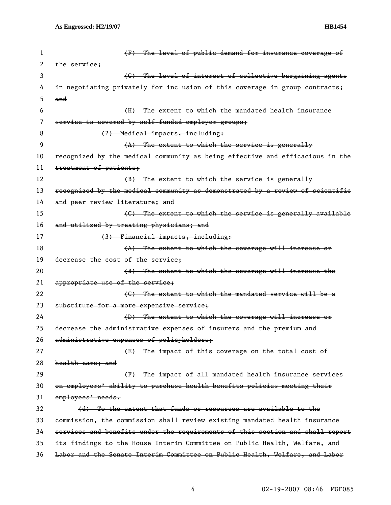| 1  | (F) The level of public demand for insurance coverage of                      |
|----|-------------------------------------------------------------------------------|
| 2  | the service;                                                                  |
| 3  | (G) The level of interest of collective bargaining agents                     |
| 4  | in negotiating privately for inclusion of this coverage in group contracts;   |
| 5  | and                                                                           |
| 6  | (H) The extent to which the mandated health insurance                         |
| 7  | service is covered by self-funded employer groups;                            |
| 8  | (2) Medical impacts, including:                                               |
| 9  | (A) The extent to which the service is generally                              |
| 10 | recognized by the medical community as being effective and efficacious in the |
| 11 | treatment of patients;                                                        |
| 12 | (B) The extent to which the service is generally                              |
| 13 | recognized by the medical community as demonstrated by a review of scientific |
| 14 | and peer review literature; and                                               |
| 15 | (C) The extent to which the service is generally available                    |
| 16 | and utilized by treating physicians; and                                      |
| 17 | (3) Financial impacts, including:                                             |
| 18 | $(A)$ The extent to which the coverage will increase or                       |
| 19 | decrease the cost of the service:                                             |
| 20 | (B) The extent to which the coverage will increase the                        |
| 21 | appropriate use of the service;                                               |
| 22 | (C) The extent to which the mandated service will be a                        |
| 23 | substitute for a more expensive service;                                      |
| 24 | (D) The extent to which the coverage will increase or                         |
| 25 | decrease the administrative expenses of insurers and the premium and          |
| 26 | administrative expenses of policyholders;                                     |
| 27 | (E) The impact of this coverage on the total cost of                          |
| 28 | health care; and                                                              |
| 29 | (F) The impact of all mandated health insurance services                      |
| 30 | on employers' ability to purchase health benefits policies meeting their      |
| 31 | employees' needs.                                                             |
| 32 | (d) To the extent that funds or resources are available to the                |
| 33 | commission, the commission shall review existing mandated health insurance    |
| 34 | services and benefits under the requirements of this section and shall report |
| 35 | its findings to the House Interim Committee on Public Health, Welfare, and    |
| 36 | Labor and the Senate Interim Committee on Public Health, Welfare, and Labor   |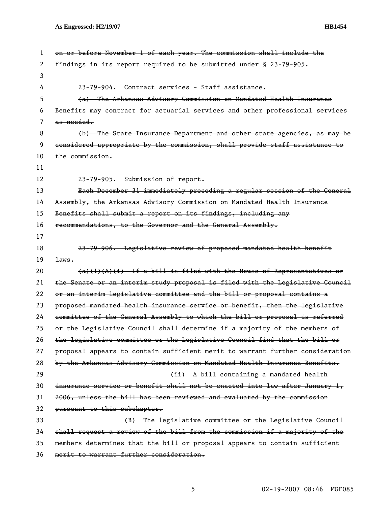| 1  | on or before November 1 of each year. The commission shall include the        |
|----|-------------------------------------------------------------------------------|
| 2  | findings in its report required to be submitted under § 23-79-905.            |
| 3  |                                                                               |
| 4  | 23-79-904. Contract services - Staff assistance.                              |
| 5  | (a) The Arkansas Advisory Commission on Mandated Health Insurance             |
| 6  | Benefits may contract for actuarial services and other professional services  |
| 7  | as needed.                                                                    |
| 8  | (b) The State Insurance Department and other state agencies, as may be        |
| 9  | considered appropriate by the commission, shall provide staff assistance to   |
| 10 | the commission.                                                               |
| 11 |                                                                               |
| 12 | 23-79-905. Submission of report.                                              |
| 13 | Each December 31 immediately preceding a regular session of the General       |
| 14 | Assembly, the Arkansas Advisory Commission on Mandated Health Insurance       |
| 15 | Benefits shall submit a report on its findings, including any                 |
| 16 | recommendations, to the Governor and the General Assembly.                    |
| 17 |                                                                               |
| 18 | 23-79-906. Legislative review of proposed mandated health benefit             |
| 19 | $\pm$ aws.                                                                    |
| 20 | $(a)$ (1)(A)(i) If a bill is filed with the House of Representatives or       |
| 21 | the Senate or an interim study proposal is filed with the Legislative Gouncil |
| 22 | or an interim legislative committee and the bill or proposal contains a       |
| 23 | proposed mandated health insurance service or benefit, then the legislative   |
| 24 | committee of the General Assembly to which the bill or proposal is referred   |
| 25 | or the Legislative Council shall determine if a majority of the members of    |
| 26 | the legislative committee or the Legislative Council find that the bill or    |
| 27 | proposal appears to contain sufficient merit to warrant further consideration |
| 28 | by the Arkansas Advisory Commission on Mandated Health Insurance Benefits.    |
| 29 | (ii) A bill containing a mandated health                                      |
| 30 | insurance service or benefit shall not be enacted into law after January 1,   |
| 31 | 2006, unless the bill has been reviewed and evaluated by the commission       |
| 32 | pursuant to this subchapter.                                                  |
| 33 | (B) The legislative committee or the Legislative Council                      |
| 34 | shall request a review of the bill from the commission if a majority of the   |
| 35 | members determines that the bill or proposal appears to contain sufficient    |
| 36 | merit to warrant further consideration.                                       |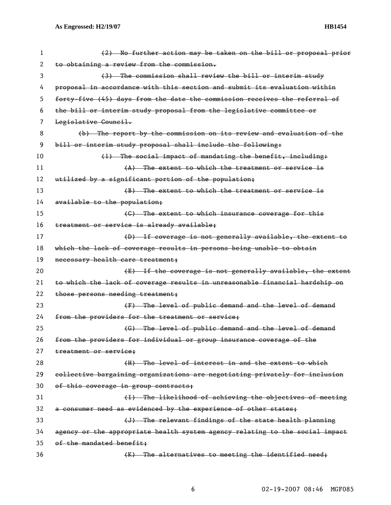| 1  | (2) No further action may be taken on the bill or proposal prior             |
|----|------------------------------------------------------------------------------|
| 2  | to obtaining a review from the commission.                                   |
| 3  | (3) The commission shall review the bill or interim study                    |
| 4  | proposal in accordance with this section and submit its evaluation within    |
| 5  | forty-five (45) days from the date the commission receives the referral of   |
| 6  | the bill or interim study proposal from the legislative committee or         |
| 7  | Legislative Council.                                                         |
| 8  | (b) The report by the commission on its review and evaluation of the         |
| 9  | bill or interim study proposal shall include the following:                  |
| 10 | (1) The social impact of mandating the benefit, including:                   |
| 11 | (A) The extent to which the treatment or service is                          |
| 12 | utilized by a significant portion of the population;                         |
| 13 | (B) The extent to which the treatment or service is                          |
| 14 | available to the population;                                                 |
| 15 | (C) The extent to which insurance coverage for this                          |
| 16 | treatment or service is already available;                                   |
| 17 | (D) If coverage is not generally available, the extent to                    |
| 18 | which the lack of coverage results in persons being unable to obtain         |
| 19 | necessary health care treatment;                                             |
| 20 | (E) If the coverage is not generally available, the extent                   |
| 21 | to which the lack of coverage results in unreasonable financial hardship on  |
| 22 | those persons needing treatment;                                             |
| 23 | (F) The level of public demand and the level of demand                       |
| 24 | from the providers for the treatment or service;                             |
| 25 | (G) The level of public demand and the level of demand                       |
| 26 | from the providers for individual or group insurance coverage of the         |
| 27 | treatment or service;                                                        |
| 28 | (H) The level of interest in and the extent to which                         |
| 29 | collective bargaining organizations are negotiating privately for inclusion  |
| 30 | of this coverage in group contracts;                                         |
| 31 | (I) The likelihood of achieving the objectives of meeting                    |
| 32 | a consumer need as evidenced by the experience of other states;              |
| 33 | (J) The relevant findings of the state health planning                       |
| 34 | agency or the appropriate health system agency relating to the social impact |
| 35 | of the mandated benefit;                                                     |
| 36 | (K) The alternatives to meeting the identified need;                         |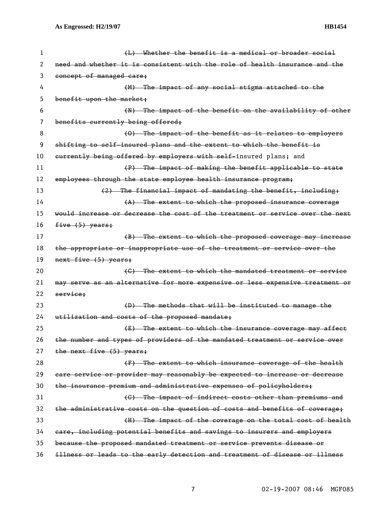| 1  | (L) Whether the benefit is a medical or broader social                        |
|----|-------------------------------------------------------------------------------|
| 2  | need and whether it is consistent with the role of health insurance and the   |
| 3  | concept of managed care;                                                      |
| 4  | (M) The impact of any social stigma attached to the                           |
| 5  | benefit upon the market;                                                      |
| 6  | (N) The impact of the benefit on the availability of other                    |
| 7  | benefits currently being offered;                                             |
| 8  | (0) The impact of the benefit as it relates to employers                      |
| 9  | shifting to self-insured plans and the extent to which the benefit is         |
| 10 | eurrently being offered by employers with self-insured plans; and             |
| 11 | (P) The impact of making the benefit applicable to state                      |
| 12 | employees through the state employee health insurance program;                |
| 13 | (2) The financial impact of mandating the benefit, including:                 |
| 14 | $(A)$ The extent to which the proposed insurance coverage                     |
| 15 | would increase or decrease the cost of the treatment or service over the next |
| 16 | five (5) years;                                                               |
| 17 | (B) The extent to which the proposed coverage may increase                    |
| 18 | the appropriate or inappropriate use of the treatment or service over the     |
| 19 | next five (5) years;                                                          |
| 20 | (C) The extent to which the mandated treatment or service                     |
| 21 | may serve as an alternative for more expensive or less expensive treatment or |
| 22 | service;                                                                      |
| 23 | (D) The methods that will be instituted to manage the                         |
| 24 | utilization and costs of the proposed mandate;                                |
| 25 | (E) The extent to which the insurance coverage may affect                     |
| 26 | the number and types of providers of the mandated treatment or service over   |
| 27 | the next five (5) years;                                                      |
| 28 | (F) The extent to which insurance coverage of the health                      |
| 29 | eare service or provider may reasonably be expected to increase or decrease   |
| 30 | the insurance premium and administrative expenses of policyholders;           |
| 31 | (G) The impact of indirect costs other than premiums and                      |
| 32 | the administrative costs on the question of costs and benefits of coverage;   |
| 33 | (H) The impact of the coverage on the total cost of health                    |
| 34 | eare, including potential benefits and savings to insurers and employers      |
| 35 |                                                                               |
|    | because the proposed mandated treatment or service prevents disease or        |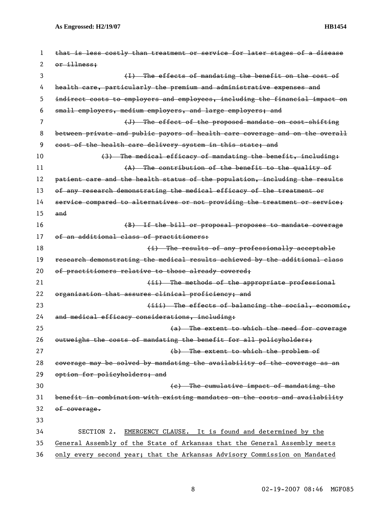| 1  | that is less costly than treatment or service for later stages of a disease  |
|----|------------------------------------------------------------------------------|
| 2  | or illness:                                                                  |
| 3  | (I) The effects of mandating the benefit on the cost of                      |
| 4  | health care, particularly the premium and administrative expenses and        |
| 5  | indirect costs to employers and employees, including the financial impact on |
| 6  | small employers, medium employers, and large employers; and                  |
| 7  | (J) The effect of the proposed mandate on cost-shifting                      |
| 8  | between private and public payors of health care coverage and on the overall |
| 9  | cost of the health care delivery system in this state; and                   |
| 10 | (3) The medical efficacy of mandating the benefit, including:                |
| 11 | (A) The contribution of the benefit to the quality of                        |
| 12 | patient care and the health status of the population, including the results  |
| 13 | of any research demonstrating the medical efficacy of the treatment or       |
| 14 | service compared to alternatives or not providing the treatment or service;  |
| 15 | and                                                                          |
| 16 | (B) If the bill or proposal proposes to mandate coverage                     |
| 17 | of an additional class of practitioners:                                     |
| 18 | (i) The results of any professionally acceptable                             |
| 19 | research demonstrating the medical results achieved by the additional class  |
| 20 | of practitioners relative to those already covered;                          |
| 21 | (ii) The methods of the appropriate professional                             |
| 22 | organization that assures clinical proficiency; and                          |
| 23 | (iii) The effects of balancing the social, economic,                         |
| 24 | and medical efficacy considerations, including:                              |
| 25 | (a) The extent to which the need for coverage                                |
| 26 | outweighs the costs of mandating the benefit for all policyholders;          |
| 27 | (b) The extent to which the problem of                                       |
| 28 | coverage may be solved by mandating the availability of the coverage as an   |
| 29 | option for policyholders; and                                                |
| 30 | (e) The cumulative impact of mandating the                                   |
| 31 | benefit in combination with existing mandates on the costs and availability  |
| 32 | of coverage.                                                                 |
| 33 |                                                                              |
| 34 | EMERGENCY CLAUSE. It is found and determined by the<br>SECTION 2.            |
| 35 | General Assembly of the State of Arkansas that the General Assembly meets    |
| 36 | only every second year; that the Arkansas Advisory Commission on Mandated    |